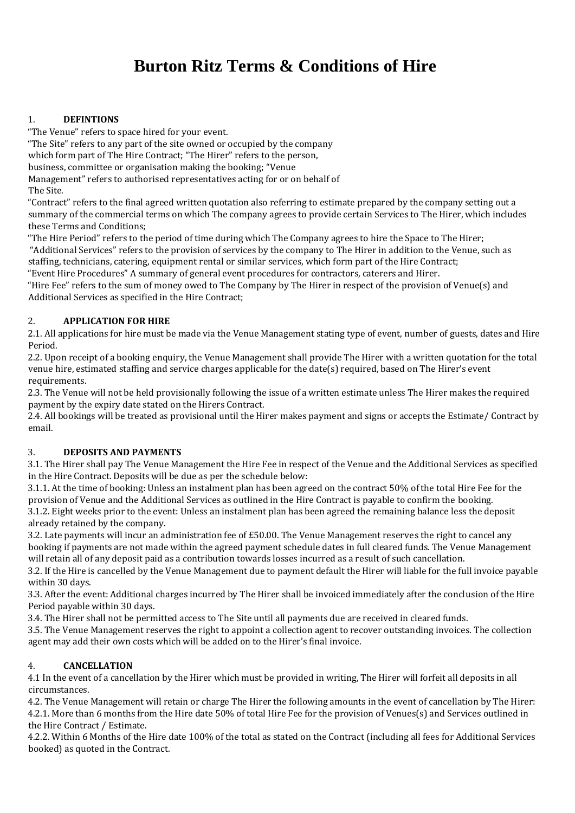# **Burton Ritz Terms & Conditions of Hire**

# 1. **DEFINTIONS**

"The Venue" refers to space hired for your event.

"The Site" refers to any part of the site owned or occupied by the company

which form part of The Hire Contract; "The Hirer" refers to the person,

business, committee or organisation making the booking; "Venue

Management" refers to authorised representatives acting for or on behalf of

The Site.

"Contract" refers to the final agreed written quotation also referring to estimate prepared by the company setting out a summary of the commercial terms on which The company agrees to provide certain Services to The Hirer, which includes these Terms and Conditions;

"The Hire Period" refers to the period of time during which The Company agrees to hire the Space to The Hirer; "Additional Services" refers to the provision of services by the company to The Hirer in addition to the Venue, such as staffing, technicians, catering, equipment rental or similar services, which form part of the Hire Contract;

"Event Hire Procedures" A summary of general event procedures for contractors, caterers and Hirer.

"Hire Fee" refers to the sum of money owed to The Company by The Hirer in respect of the provision of Venue(s) and Additional Services as specified in the Hire Contract;

# 2. **APPLICATION FOR HIRE**

2.1. All applications for hire must be made via the Venue Management stating type of event, number of guests, dates and Hire Period.

2.2. Upon receipt of a booking enquiry, the Venue Management shall provide The Hirer with a written quotation for the total venue hire, estimated staffing and service charges applicable for the date(s) required, based on The Hirer's event requirements.

2.3. The Venue will not be held provisionally following the issue of a written estimate unless The Hirer makes the required payment by the expiry date stated on the Hirers Contract.

2.4. All bookings will be treated as provisional until the Hirer makes payment and signs or accepts the Estimate/ Contract by email.

## 3. **DEPOSITS AND PAYMENTS**

3.1. The Hirer shall pay The Venue Management the Hire Fee in respect of the Venue and the Additional Services as specified in the Hire Contract. Deposits will be due as per the schedule below:

3.1.1. At the time of booking: Unless an instalment plan has been agreed on the contract 50% of the total Hire Fee for the provision of Venue and the Additional Services as outlined in the Hire Contract is payable to confirm the booking. 3.1.2. Eight weeks prior to the event: Unless an instalment plan has been agreed the remaining balance less the deposit

already retained by the company. 3.2. Late payments will incur an administration fee of £50.00. The Venue Management reserves the right to cancel any booking if payments are not made within the agreed payment schedule dates in full cleared funds. The Venue Management

will retain all of any deposit paid as a contribution towards losses incurred as a result of such cancellation.

3.2. If the Hire is cancelled by the Venue Management due to payment default the Hirer will liable for the full invoice payable within 30 days.

3.3. After the event: Additional charges incurred by The Hirer shall be invoiced immediately after the conclusion of the Hire Period payable within 30 days.

3.4. The Hirer shall not be permitted access to The Site until all payments due are received in cleared funds.

3.5. The Venue Management reserves the right to appoint a collection agent to recover outstanding invoices. The collection agent may add their own costs which will be added on to the Hirer's final invoice.

## 4. **CANCELLATION**

4.1 In the event of a cancellation by the Hirer which must be provided in writing, The Hirer will forfeit all deposits in all circumstances.

4.2. The Venue Management will retain or charge The Hirer the following amounts in the event of cancellation by The Hirer: 4.2.1. More than 6 months from the Hire date 50% of total Hire Fee for the provision of Venues(s) and Services outlined in the Hire Contract / Estimate.

4.2.2. Within 6 Months of the Hire date 100% of the total as stated on the Contract (including all fees for Additional Services booked) as quoted in the Contract.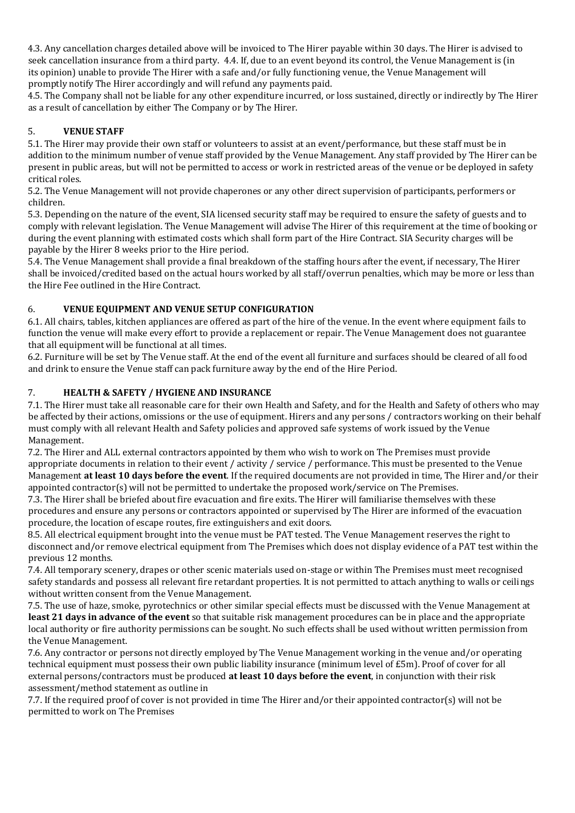4.3. Any cancellation charges detailed above will be invoiced to The Hirer payable within 30 days. The Hirer is advised to seek cancellation insurance from a third party. 4.4. If, due to an event beyond its control, the Venue Management is (in its opinion) unable to provide The Hirer with a safe and/or fully functioning venue, the Venue Management will promptly notify The Hirer accordingly and will refund any payments paid.

4.5. The Company shall not be liable for any other expenditure incurred, or loss sustained, directly or indirectly by The Hirer as a result of cancellation by either The Company or by The Hirer.

# 5. **VENUE STAFF**

5.1. The Hirer may provide their own staff or volunteers to assist at an event/performance, but these staff must be in addition to the minimum number of venue staff provided by the Venue Management. Any staff provided by The Hirer can be present in public areas, but will not be permitted to access or work in restricted areas of the venue or be deployed in safety critical roles.

5.2. The Venue Management will not provide chaperones or any other direct supervision of participants, performers or children.

5.3. Depending on the nature of the event, SIA licensed security staff may be required to ensure the safety of guests and to comply with relevant legislation. The Venue Management will advise The Hirer of this requirement at the time of booking or during the event planning with estimated costs which shall form part of the Hire Contract. SIA Security charges will be payable by the Hirer 8 weeks prior to the Hire period.

5.4. The Venue Management shall provide a final breakdown of the staffing hours after the event, if necessary, The Hirer shall be invoiced/credited based on the actual hours worked by all staff/overrun penalties, which may be more or less than the Hire Fee outlined in the Hire Contract.

## 6. **VENUE EQUIPMENT AND VENUE SETUP CONFIGURATION**

6.1. All chairs, tables, kitchen appliances are offered as part of the hire of the venue. In the event where equipment fails to function the venue will make every effort to provide a replacement or repair. The Venue Management does not guarantee that all equipment will be functional at all times.

6.2. Furniture will be set by The Venue staff. At the end of the event all furniture and surfaces should be cleared of all food and drink to ensure the Venue staff can pack furniture away by the end of the Hire Period.

#### 7. **HEALTH & SAFETY / HYGIENE AND INSURANCE**

7.1. The Hirer must take all reasonable care for their own Health and Safety, and for the Health and Safety of others who may be affected by their actions, omissions or the use of equipment. Hirers and any persons / contractors working on their behalf must comply with all relevant Health and Safety policies and approved safe systems of work issued by the Venue Management.

7.2. The Hirer and ALL external contractors appointed by them who wish to work on The Premises must provide appropriate documents in relation to their event / activity / service / performance. This must be presented to the Venue Management **at least 10 days before the event**. If the required documents are not provided in time, The Hirer and/or their appointed contractor(s) will not be permitted to undertake the proposed work/service on The Premises.

7.3. The Hirer shall be briefed about fire evacuation and fire exits. The Hirer will familiarise themselves with these procedures and ensure any persons or contractors appointed or supervised by The Hirer are informed of the evacuation procedure, the location of escape routes, fire extinguishers and exit doors.

8.5. All electrical equipment brought into the venue must be PAT tested. The Venue Management reserves the right to disconnect and/or remove electrical equipment from The Premises which does not display evidence of a PAT test within the previous 12 months.

7.4. All temporary scenery, drapes or other scenic materials used on-stage or within The Premises must meet recognised safety standards and possess all relevant fire retardant properties. It is not permitted to attach anything to walls or ceilings without written consent from the Venue Management.

7.5. The use of haze, smoke, pyrotechnics or other similar special effects must be discussed with the Venue Management at **least 21 days in advance of the event** so that suitable risk management procedures can be in place and the appropriate local authority or fire authority permissions can be sought. No such effects shall be used without written permission from the Venue Management.

7.6. Any contractor or persons not directly employed by The Venue Management working in the venue and/or operating technical equipment must possess their own public liability insurance (minimum level of £5m). Proof of cover for all external persons/contractors must be produced **at least 10 days before the event**, in conjunction with their risk assessment/method statement as outline in

7.7. If the required proof of cover is not provided in time The Hirer and/or their appointed contractor(s) will not be permitted to work on The Premises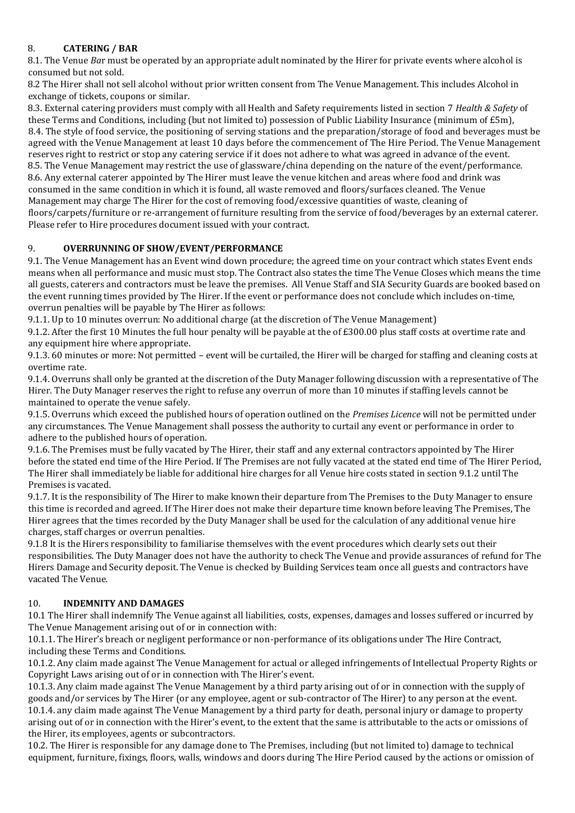### 8. **CATERING / BAR**

8.1. The Venue *Ba*r must be operated by an appropriate adult nominated by the Hirer for private events where alcohol is consumed but not sold.

8.2 The Hirer shall not sell alcohol without prior written consent from The Venue Management. This includes Alcohol in exchange of tickets, coupons or similar.

8.3. External catering providers must comply with all Health and Safety requirements listed in section 7 *Health & Safety* of these Terms and Conditions, including (but not limited to) possession of Public Liability Insurance (minimum of £5m), 8.4. The style of food service, the positioning of serving stations and the preparation/storage of food and beverages must be agreed with the Venue Management at least 10 days before the commencement of The Hire Period. The Venue Management reserves right to restrict or stop any catering service if it does not adhere to what was agreed in advance of the event. 8.5. The Venue Management may restrict the use of glassware/china depending on the nature of the event/performance. 8.6. Any external caterer appointed by The Hirer must leave the venue kitchen and areas where food and drink was consumed in the same condition in which it is found, all waste removed and floors/surfaces cleaned. The Venue Management may charge The Hirer for the cost of removing food/excessive quantities of waste, cleaning of floors/carpets/furniture or re-arrangement of furniture resulting from the service of food/beverages by an external caterer. Please refer to Hire procedures document issued with your contract.

#### 9. **OVERRUNNING OF SHOW/EVENT/PERFORMANCE**

9.1. The Venue Management has an Event wind down procedure; the agreed time on your contract which states Event ends means when all performance and music must stop. The Contract also states the time The Venue Closes which means the time all guests, caterers and contractors must be leave the premises. All Venue Staff and SIA Security Guards are booked based on the event running times provided by The Hirer. If the event or performance does not conclude which includes on-time, overrun penalties will be payable by The Hirer as follows:

9.1.1. Up to 10 minutes overrun: No additional charge (at the discretion of The Venue Management)

9.1.2. After the first 10 Minutes the full hour penalty will be payable at the of £300.00 plus staff costs at overtime rate and any equipment hire where appropriate.

9.1.3. 60 minutes or more: Not permitted – event will be curtailed, the Hirer will be charged for staffing and cleaning costs at overtime rate.

9.1.4. Overruns shall only be granted at the discretion of the Duty Manager following discussion with a representative of The Hirer. The Duty Manager reserves the right to refuse any overrun of more than 10 minutes if staffing levels cannot be maintained to operate the venue safely.

9.1.5. Overruns which exceed the published hours of operation outlined on the *Premises Licence* will not be permitted under any circumstances. The Venue Management shall possess the authority to curtail any event or performance in order to adhere to the published hours of operation.

9.1.6. The Premises must be fully vacated by The Hirer, their staff and any external contractors appointed by The Hirer before the stated end time of the Hire Period. If The Premises are not fully vacated at the stated end time of The Hirer Period, The Hirer shall immediately be liable for additional hire charges for all Venue hire costs stated in section 9.1.2 until The Premises is vacated.

9.1.7. It is the responsibility of The Hirer to make known their departure from The Premises to the Duty Manager to ensure this time is recorded and agreed. If The Hirer does not make their departure time known before leaving The Premises, The Hirer agrees that the times recorded by the Duty Manager shall be used for the calculation of any additional venue hire charges, staff charges or overrun penalties.

9.1.8 It is the Hirers responsibility to familiarise themselves with the event procedures which clearly sets out their responsibilities. The Duty Manager does not have the authority to check The Venue and provide assurances of refund for The Hirers Damage and Security deposit. The Venue is checked by Building Services team once all guests and contractors have vacated The Venue.

#### 10. **INDEMNITY AND DAMAGES**

10.1 The Hirer shall indemnify The Venue against all liabilities, costs, expenses, damages and losses suffered or incurred by The Venue Management arising out of or in connection with:

10.1.1. The Hirer's breach or negligent performance or non-performance of its obligations under The Hire Contract, including these Terms and Conditions.

10.1.2. Any claim made against The Venue Management for actual or alleged infringements of Intellectual Property Rights or Copyright Laws arising out of or in connection with The Hirer's event.

10.1.3. Any claim made against The Venue Management by a third party arising out of or in connection with the supply of goods and/or services by The Hirer (or any employee, agent or sub-contractor of The Hirer) to any person at the event. 10.1.4. any claim made against The Venue Management by a third party for death, personal injury or damage to property arising out of or in connection with the Hirer's event, to the extent that the same is attributable to the acts or omissions of the Hirer, its employees, agents or subcontractors.

10.2. The Hirer is responsible for any damage done to The Premises, including (but not limited to) damage to technical equipment, furniture, fixings, floors, walls, windows and doors during The Hire Period caused by the actions or omission of